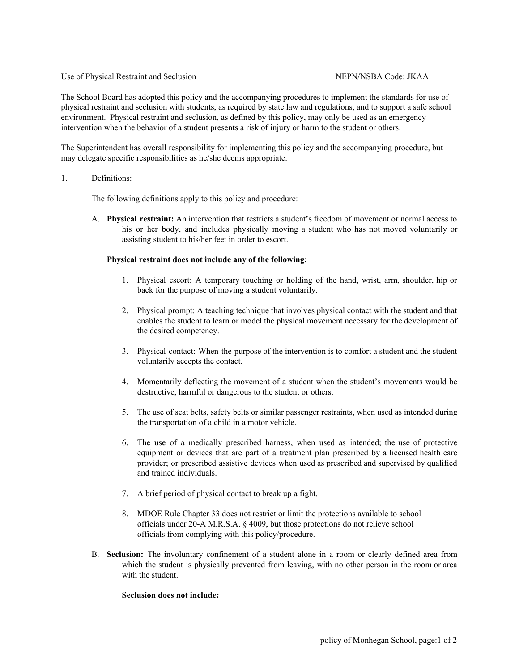## Use of Physical Restraint and Seclusion NEPN/NSBA Code: JKAA

The School Board has adopted this policy and the accompanying procedures to implement the standards for use of physical restraint and seclusion with students, as required by state law and regulations, and to support a safe school environment. Physical restraint and seclusion, as defined by this policy, may only be used as an emergency intervention when the behavior of a student presents a risk of injury or harm to the student or others.

The Superintendent has overall responsibility for implementing this policy and the accompanying procedure, but may delegate specific responsibilities as he/she deems appropriate.

## 1. Definitions:

The following definitions apply to this policy and procedure:

A. **Physical restraint:** An intervention that restricts a student's freedom of movement or normal access to his or her body, and includes physically moving a student who has not moved voluntarily or assisting student to his/her feet in order to escort.

# **Physical restraint does not include any of the following:**

- 1. Physical escort: A temporary touching or holding of the hand, wrist, arm, shoulder, hip or back for the purpose of moving a student voluntarily.
- 2. Physical prompt: A teaching technique that involves physical contact with the student and that enables the student to learn or model the physical movement necessary for the development of the desired competency.
- 3. Physical contact: When the purpose of the intervention is to comfort a student and the student voluntarily accepts the contact.
- 4. Momentarily deflecting the movement of a student when the student's movements would be destructive, harmful or dangerous to the student or others.
- 5. The use of seat belts, safety belts or similar passenger restraints, when used as intended during the transportation of a child in a motor vehicle.
- 6. The use of a medically prescribed harness, when used as intended; the use of protective equipment or devices that are part of a treatment plan prescribed by a licensed health care provider; or prescribed assistive devices when used as prescribed and supervised by qualified and trained individuals.
- 7. A brief period of physical contact to break up a fight.
- 8. MDOE Rule Chapter 33 does not restrict or limit the protections available to school officials under 20-A M.R.S.A. § 4009, but those protections do not relieve school officials from complying with this policy/procedure.
- B. **Seclusion:** The involuntary confinement of a student alone in a room or clearly defined area from which the student is physically prevented from leaving, with no other person in the room or area with the student.

## **Seclusion does not include:**